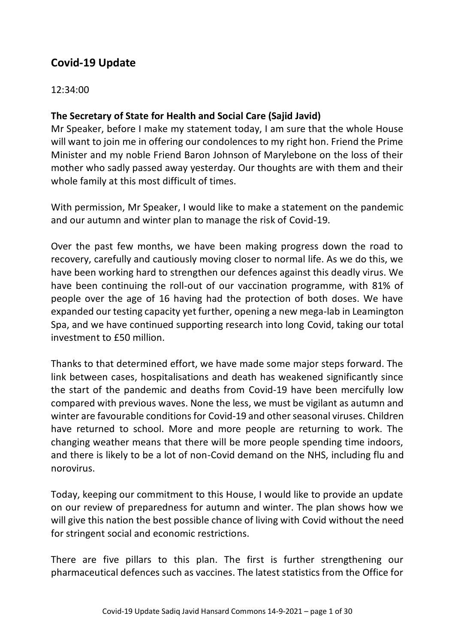# **Covid-19 Update**

## 12:34:00

## **The Secretary of State for Health and Social Care (Sajid Javid)**

Mr Speaker, before I make my statement today, I am sure that the whole House will want to join me in offering our condolences to my right hon. Friend the Prime Minister and my noble Friend Baron Johnson of Marylebone on the loss of their mother who sadly passed away yesterday. Our thoughts are with them and their whole family at this most difficult of times.

With permission, Mr Speaker, I would like to make a statement on the pandemic and our autumn and winter plan to manage the risk of Covid-19.

Over the past few months, we have been making progress down the road to recovery, carefully and cautiously moving closer to normal life. As we do this, we have been working hard to strengthen our defences against this deadly virus. We have been continuing the roll-out of our vaccination programme, with 81% of people over the age of 16 having had the protection of both doses. We have expanded our testing capacity yet further, opening a new mega-lab in Leamington Spa, and we have continued supporting research into long Covid, taking our total investment to £50 million.

Thanks to that determined effort, we have made some major steps forward. The link between cases, hospitalisations and death has weakened significantly since the start of the pandemic and deaths from Covid-19 have been mercifully low compared with previous waves. None the less, we must be vigilant as autumn and winter are favourable conditions for Covid-19 and other seasonal viruses. Children have returned to school. More and more people are returning to work. The changing weather means that there will be more people spending time indoors, and there is likely to be a lot of non-Covid demand on the NHS, including flu and norovirus.

Today, keeping our commitment to this House, I would like to provide an update on our review of preparedness for autumn and winter. The plan shows how we will give this nation the best possible chance of living with Covid without the need for stringent social and economic restrictions.

There are five pillars to this plan. The first is further strengthening our pharmaceutical defences such as vaccines. The latest statistics from the Office for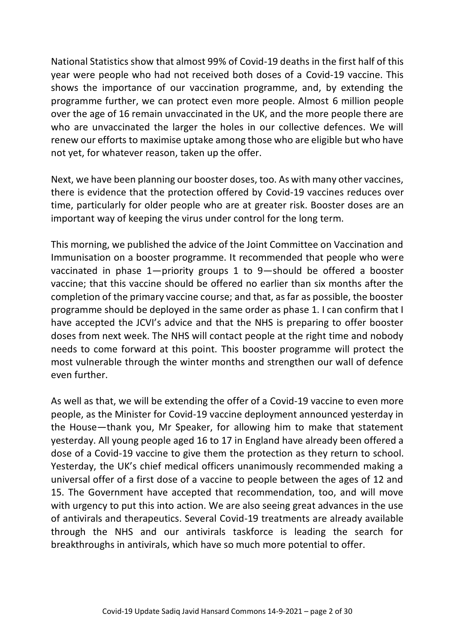National Statistics show that almost 99% of Covid-19 deaths in the first half of this year were people who had not received both doses of a Covid-19 vaccine. This shows the importance of our vaccination programme, and, by extending the programme further, we can protect even more people. Almost 6 million people over the age of 16 remain unvaccinated in the UK, and the more people there are who are unvaccinated the larger the holes in our collective defences. We will renew our efforts to maximise uptake among those who are eligible but who have not yet, for whatever reason, taken up the offer.

Next, we have been planning our booster doses, too. As with many other vaccines, there is evidence that the protection offered by Covid-19 vaccines reduces over time, particularly for older people who are at greater risk. Booster doses are an important way of keeping the virus under control for the long term.

This morning, we published the advice of the Joint Committee on Vaccination and Immunisation on a booster programme. It recommended that people who were vaccinated in phase 1—priority groups 1 to 9—should be offered a booster vaccine; that this vaccine should be offered no earlier than six months after the completion of the primary vaccine course; and that, as far as possible, the booster programme should be deployed in the same order as phase 1. I can confirm that I have accepted the JCVI's advice and that the NHS is preparing to offer booster doses from next week. The NHS will contact people at the right time and nobody needs to come forward at this point. This booster programme will protect the most vulnerable through the winter months and strengthen our wall of defence even further.

As well as that, we will be extending the offer of a Covid-19 vaccine to even more people, as the Minister for Covid-19 vaccine deployment announced yesterday in the House—thank you, Mr Speaker, for allowing him to make that statement yesterday. All young people aged 16 to 17 in England have already been offered a dose of a Covid-19 vaccine to give them the protection as they return to school. Yesterday, the UK's chief medical officers unanimously recommended making a universal offer of a first dose of a vaccine to people between the ages of 12 and 15. The Government have accepted that recommendation, too, and will move with urgency to put this into action. We are also seeing great advances in the use of antivirals and therapeutics. Several Covid-19 treatments are already available through the NHS and our antivirals taskforce is leading the search for breakthroughs in antivirals, which have so much more potential to offer.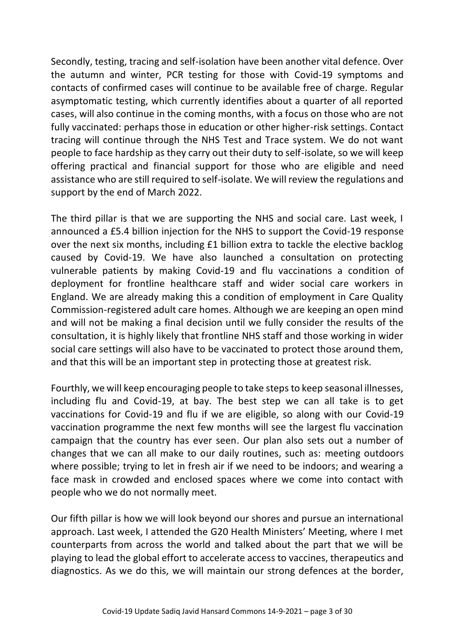Secondly, testing, tracing and self-isolation have been another vital defence. Over the autumn and winter, PCR testing for those with Covid-19 symptoms and contacts of confirmed cases will continue to be available free of charge. Regular asymptomatic testing, which currently identifies about a quarter of all reported cases, will also continue in the coming months, with a focus on those who are not fully vaccinated: perhaps those in education or other higher-risk settings. Contact tracing will continue through the NHS Test and Trace system. We do not want people to face hardship as they carry out their duty to self-isolate, so we will keep offering practical and financial support for those who are eligible and need assistance who are still required to self-isolate. We will review the regulations and support by the end of March 2022.

The third pillar is that we are supporting the NHS and social care. Last week, I announced a £5.4 billion injection for the NHS to support the Covid-19 response over the next six months, including £1 billion extra to tackle the elective backlog caused by Covid-19. We have also launched a consultation on protecting vulnerable patients by making Covid-19 and flu vaccinations a condition of deployment for frontline healthcare staff and wider social care workers in England. We are already making this a condition of employment in Care Quality Commission-registered adult care homes. Although we are keeping an open mind and will not be making a final decision until we fully consider the results of the consultation, it is highly likely that frontline NHS staff and those working in wider social care settings will also have to be vaccinated to protect those around them, and that this will be an important step in protecting those at greatest risk.

Fourthly, we will keep encouraging people to take steps to keep seasonal illnesses, including flu and Covid-19, at bay. The best step we can all take is to get vaccinations for Covid-19 and flu if we are eligible, so along with our Covid-19 vaccination programme the next few months will see the largest flu vaccination campaign that the country has ever seen. Our plan also sets out a number of changes that we can all make to our daily routines, such as: meeting outdoors where possible; trying to let in fresh air if we need to be indoors; and wearing a face mask in crowded and enclosed spaces where we come into contact with people who we do not normally meet.

Our fifth pillar is how we will look beyond our shores and pursue an international approach. Last week, I attended the G20 Health Ministers' Meeting, where I met counterparts from across the world and talked about the part that we will be playing to lead the global effort to accelerate access to vaccines, therapeutics and diagnostics. As we do this, we will maintain our strong defences at the border,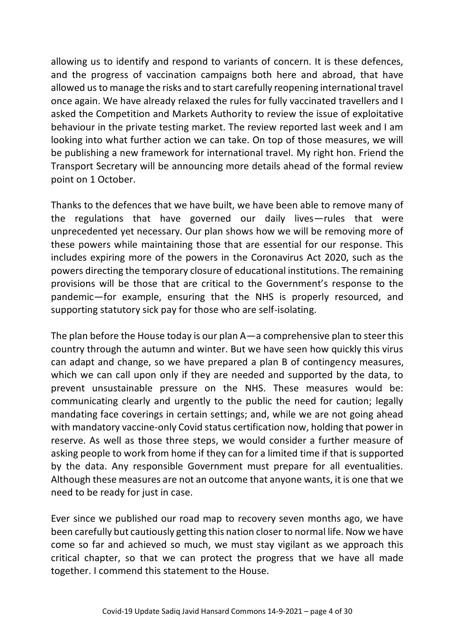allowing us to identify and respond to variants of concern. It is these defences, and the progress of vaccination campaigns both here and abroad, that have allowed us to manage the risks and to start carefully reopening international travel once again. We have already relaxed the rules for fully vaccinated travellers and I asked the Competition and Markets Authority to review the issue of exploitative behaviour in the private testing market. The review reported last week and I am looking into what further action we can take. On top of those measures, we will be publishing a new framework for international travel. My right hon. Friend the Transport Secretary will be announcing more details ahead of the formal review point on 1 October.

Thanks to the defences that we have built, we have been able to remove many of the regulations that have governed our daily lives—rules that were unprecedented yet necessary. Our plan shows how we will be removing more of these powers while maintaining those that are essential for our response. This includes expiring more of the powers in the Coronavirus Act 2020, such as the powers directing the temporary closure of educational institutions. The remaining provisions will be those that are critical to the Government's response to the pandemic—for example, ensuring that the NHS is properly resourced, and supporting statutory sick pay for those who are self-isolating.

The plan before the House today is our plan A—a comprehensive plan to steer this country through the autumn and winter. But we have seen how quickly this virus can adapt and change, so we have prepared a plan B of contingency measures, which we can call upon only if they are needed and supported by the data, to prevent unsustainable pressure on the NHS. These measures would be: communicating clearly and urgently to the public the need for caution; legally mandating face coverings in certain settings; and, while we are not going ahead with mandatory vaccine-only Covid status certification now, holding that power in reserve. As well as those three steps, we would consider a further measure of asking people to work from home if they can for a limited time if that is supported by the data. Any responsible Government must prepare for all eventualities. Although these measures are not an outcome that anyone wants, it is one that we need to be ready for just in case.

Ever since we published our road map to recovery seven months ago, we have been carefully but cautiously getting this nation closer to normal life. Now we have come so far and achieved so much, we must stay vigilant as we approach this critical chapter, so that we can protect the progress that we have all made together. I commend this statement to the House.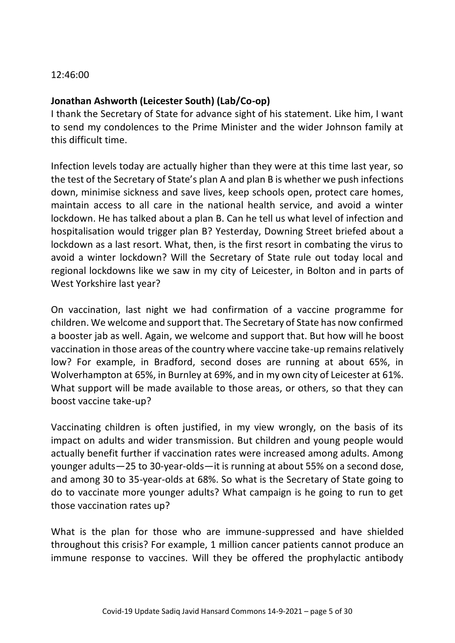12:46:00

## **Jonathan Ashworth (Leicester South) (Lab/Co-op)**

I thank the Secretary of State for advance sight of his statement. Like him, I want to send my condolences to the Prime Minister and the wider Johnson family at this difficult time.

Infection levels today are actually higher than they were at this time last year, so the test of the Secretary of State's plan A and plan B is whether we push infections down, minimise sickness and save lives, keep schools open, protect care homes, maintain access to all care in the national health service, and avoid a winter lockdown. He has talked about a plan B. Can he tell us what level of infection and hospitalisation would trigger plan B? Yesterday, Downing Street briefed about a lockdown as a last resort. What, then, is the first resort in combating the virus to avoid a winter lockdown? Will the Secretary of State rule out today local and regional lockdowns like we saw in my city of Leicester, in Bolton and in parts of West Yorkshire last year?

On vaccination, last night we had confirmation of a vaccine programme for children. We welcome and support that. The Secretary of State has now confirmed a booster jab as well. Again, we welcome and support that. But how will he boost vaccination in those areas of the country where vaccine take-up remains relatively low? For example, in Bradford, second doses are running at about 65%, in Wolverhampton at 65%, in Burnley at 69%, and in my own city of Leicester at 61%. What support will be made available to those areas, or others, so that they can boost vaccine take-up?

Vaccinating children is often justified, in my view wrongly, on the basis of its impact on adults and wider transmission. But children and young people would actually benefit further if vaccination rates were increased among adults. Among younger adults—25 to 30-year-olds—it is running at about 55% on a second dose, and among 30 to 35-year-olds at 68%. So what is the Secretary of State going to do to vaccinate more younger adults? What campaign is he going to run to get those vaccination rates up?

What is the plan for those who are immune-suppressed and have shielded throughout this crisis? For example, 1 million cancer patients cannot produce an immune response to vaccines. Will they be offered the prophylactic antibody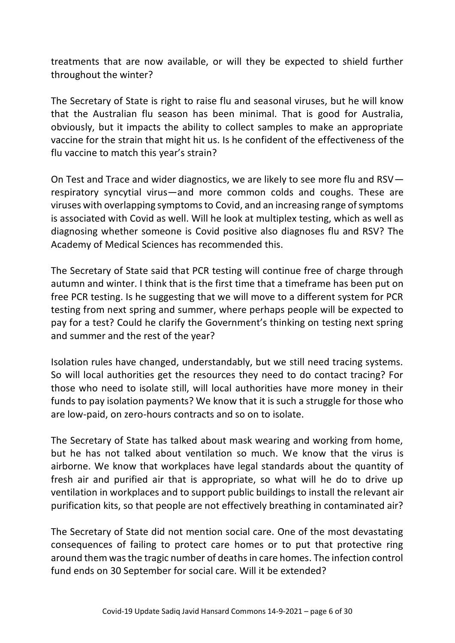treatments that are now available, or will they be expected to shield further throughout the winter?

The Secretary of State is right to raise flu and seasonal viruses, but he will know that the Australian flu season has been minimal. That is good for Australia, obviously, but it impacts the ability to collect samples to make an appropriate vaccine for the strain that might hit us. Is he confident of the effectiveness of the flu vaccine to match this year's strain?

On Test and Trace and wider diagnostics, we are likely to see more flu and RSV respiratory syncytial virus—and more common colds and coughs. These are viruses with overlapping symptoms to Covid, and an increasing range of symptoms is associated with Covid as well. Will he look at multiplex testing, which as well as diagnosing whether someone is Covid positive also diagnoses flu and RSV? The Academy of Medical Sciences has recommended this.

The Secretary of State said that PCR testing will continue free of charge through autumn and winter. I think that is the first time that a timeframe has been put on free PCR testing. Is he suggesting that we will move to a different system for PCR testing from next spring and summer, where perhaps people will be expected to pay for a test? Could he clarify the Government's thinking on testing next spring and summer and the rest of the year?

Isolation rules have changed, understandably, but we still need tracing systems. So will local authorities get the resources they need to do contact tracing? For those who need to isolate still, will local authorities have more money in their funds to pay isolation payments? We know that it is such a struggle for those who are low-paid, on zero-hours contracts and so on to isolate.

The Secretary of State has talked about mask wearing and working from home, but he has not talked about ventilation so much. We know that the virus is airborne. We know that workplaces have legal standards about the quantity of fresh air and purified air that is appropriate, so what will he do to drive up ventilation in workplaces and to support public buildings to install the relevant air purification kits, so that people are not effectively breathing in contaminated air?

The Secretary of State did not mention social care. One of the most devastating consequences of failing to protect care homes or to put that protective ring around them was the tragic number of deaths in care homes. The infection control fund ends on 30 September for social care. Will it be extended?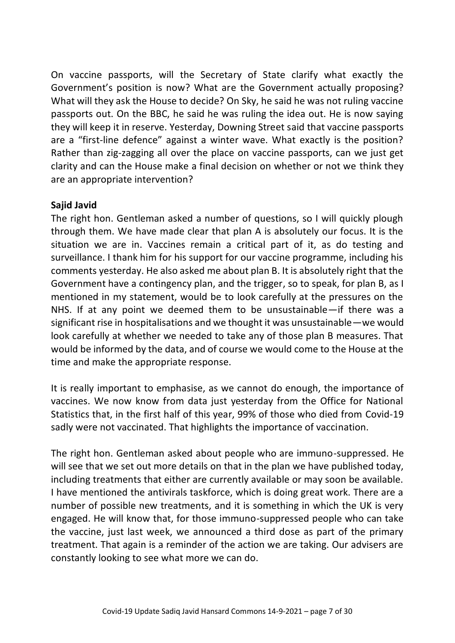On vaccine passports, will the Secretary of State clarify what exactly the Government's position is now? What are the Government actually proposing? What will they ask the House to decide? On Sky, he said he was not ruling vaccine passports out. On the BBC, he said he was ruling the idea out. He is now saying they will keep it in reserve. Yesterday, Downing Street said that vaccine passports are a "first-line defence" against a winter wave. What exactly is the position? Rather than zig-zagging all over the place on vaccine passports, can we just get clarity and can the House make a final decision on whether or not we think they are an appropriate intervention?

## **Sajid Javid**

The right hon. Gentleman asked a number of questions, so I will quickly plough through them. We have made clear that plan A is absolutely our focus. It is the situation we are in. Vaccines remain a critical part of it, as do testing and surveillance. I thank him for his support for our vaccine programme, including his comments yesterday. He also asked me about plan B. It is absolutely right that the Government have a contingency plan, and the trigger, so to speak, for plan B, as I mentioned in my statement, would be to look carefully at the pressures on the NHS. If at any point we deemed them to be unsustainable—if there was a significant rise in hospitalisations and we thought it was unsustainable—we would look carefully at whether we needed to take any of those plan B measures. That would be informed by the data, and of course we would come to the House at the time and make the appropriate response.

It is really important to emphasise, as we cannot do enough, the importance of vaccines. We now know from data just yesterday from the Office for National Statistics that, in the first half of this year, 99% of those who died from Covid-19 sadly were not vaccinated. That highlights the importance of vaccination.

The right hon. Gentleman asked about people who are immuno-suppressed. He will see that we set out more details on that in the plan we have published today, including treatments that either are currently available or may soon be available. I have mentioned the antivirals taskforce, which is doing great work. There are a number of possible new treatments, and it is something in which the UK is very engaged. He will know that, for those immuno-suppressed people who can take the vaccine, just last week, we announced a third dose as part of the primary treatment. That again is a reminder of the action we are taking. Our advisers are constantly looking to see what more we can do.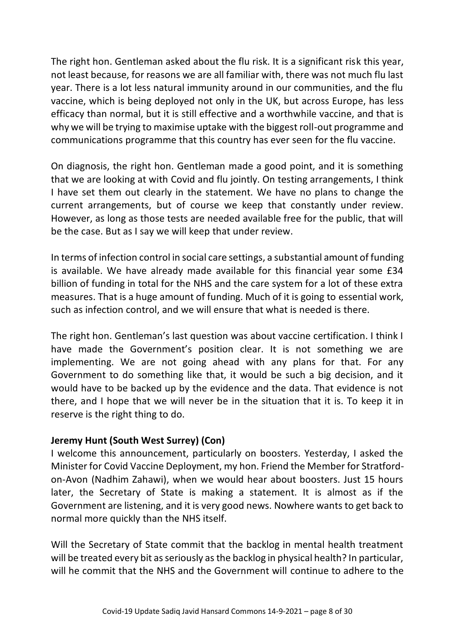The right hon. Gentleman asked about the flu risk. It is a significant risk this year, not least because, for reasons we are all familiar with, there was not much flu last year. There is a lot less natural immunity around in our communities, and the flu vaccine, which is being deployed not only in the UK, but across Europe, has less efficacy than normal, but it is still effective and a worthwhile vaccine, and that is why we will be trying to maximise uptake with the biggest roll-out programme and communications programme that this country has ever seen for the flu vaccine.

On diagnosis, the right hon. Gentleman made a good point, and it is something that we are looking at with Covid and flu jointly. On testing arrangements, I think I have set them out clearly in the statement. We have no plans to change the current arrangements, but of course we keep that constantly under review. However, as long as those tests are needed available free for the public, that will be the case. But as I say we will keep that under review.

In terms of infection control in social care settings, a substantial amount of funding is available. We have already made available for this financial year some £34 billion of funding in total for the NHS and the care system for a lot of these extra measures. That is a huge amount of funding. Much of it is going to essential work, such as infection control, and we will ensure that what is needed is there.

The right hon. Gentleman's last question was about vaccine certification. I think I have made the Government's position clear. It is not something we are implementing. We are not going ahead with any plans for that. For any Government to do something like that, it would be such a big decision, and it would have to be backed up by the evidence and the data. That evidence is not there, and I hope that we will never be in the situation that it is. To keep it in reserve is the right thing to do.

## **Jeremy Hunt (South West Surrey) (Con)**

I welcome this announcement, particularly on boosters. Yesterday, I asked the Minister for Covid Vaccine Deployment, my hon. Friend the Member for Stratfordon-Avon (Nadhim Zahawi), when we would hear about boosters. Just 15 hours later, the Secretary of State is making a statement. It is almost as if the Government are listening, and it is very good news. Nowhere wants to get back to normal more quickly than the NHS itself.

Will the Secretary of State commit that the backlog in mental health treatment will be treated every bit as seriously as the backlog in physical health? In particular, will he commit that the NHS and the Government will continue to adhere to the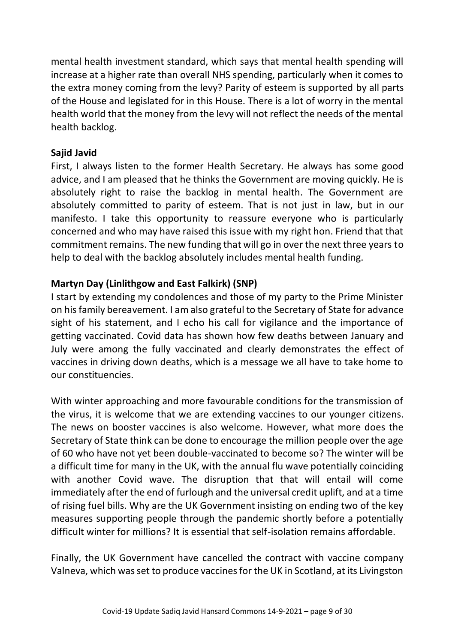mental health investment standard, which says that mental health spending will increase at a higher rate than overall NHS spending, particularly when it comes to the extra money coming from the levy? Parity of esteem is supported by all parts of the House and legislated for in this House. There is a lot of worry in the mental health world that the money from the levy will not reflect the needs of the mental health backlog.

# **Sajid Javid**

First, I always listen to the former Health Secretary. He always has some good advice, and I am pleased that he thinks the Government are moving quickly. He is absolutely right to raise the backlog in mental health. The Government are absolutely committed to parity of esteem. That is not just in law, but in our manifesto. I take this opportunity to reassure everyone who is particularly concerned and who may have raised this issue with my right hon. Friend that that commitment remains. The new funding that will go in over the next three years to help to deal with the backlog absolutely includes mental health funding.

# **Martyn Day (Linlithgow and East Falkirk) (SNP)**

I start by extending my condolences and those of my party to the Prime Minister on his family bereavement. I am also grateful to the Secretary of State for advance sight of his statement, and I echo his call for vigilance and the importance of getting vaccinated. Covid data has shown how few deaths between January and July were among the fully vaccinated and clearly demonstrates the effect of vaccines in driving down deaths, which is a message we all have to take home to our constituencies.

With winter approaching and more favourable conditions for the transmission of the virus, it is welcome that we are extending vaccines to our younger citizens. The news on booster vaccines is also welcome. However, what more does the Secretary of State think can be done to encourage the million people over the age of 60 who have not yet been double-vaccinated to become so? The winter will be a difficult time for many in the UK, with the annual flu wave potentially coinciding with another Covid wave. The disruption that that will entail will come immediately after the end of furlough and the universal credit uplift, and at a time of rising fuel bills. Why are the UK Government insisting on ending two of the key measures supporting people through the pandemic shortly before a potentially difficult winter for millions? It is essential that self-isolation remains affordable.

Finally, the UK Government have cancelled the contract with vaccine company Valneva, which was set to produce vaccines for the UK in Scotland, at its Livingston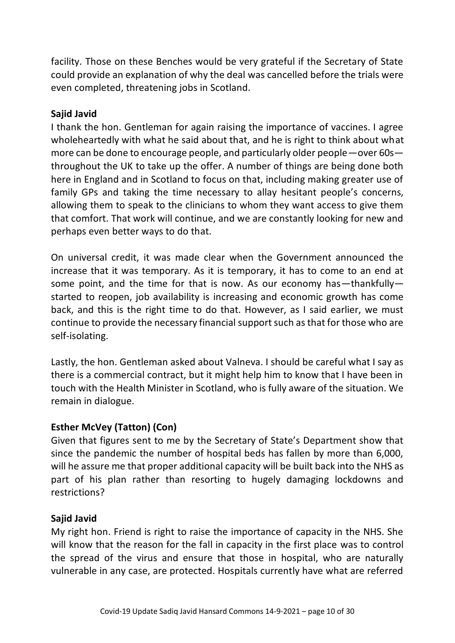facility. Those on these Benches would be very grateful if the Secretary of State could provide an explanation of why the deal was cancelled before the trials were even completed, threatening jobs in Scotland.

#### **Sajid Javid**

I thank the hon. Gentleman for again raising the importance of vaccines. I agree wholeheartedly with what he said about that, and he is right to think about what more can be done to encourage people, and particularly older people—over 60s throughout the UK to take up the offer. A number of things are being done both here in England and in Scotland to focus on that, including making greater use of family GPs and taking the time necessary to allay hesitant people's concerns, allowing them to speak to the clinicians to whom they want access to give them that comfort. That work will continue, and we are constantly looking for new and perhaps even better ways to do that.

On universal credit, it was made clear when the Government announced the increase that it was temporary. As it is temporary, it has to come to an end at some point, and the time for that is now. As our economy has—thankfully started to reopen, job availability is increasing and economic growth has come back, and this is the right time to do that. However, as I said earlier, we must continue to provide the necessary financial support such as that for those who are self-isolating.

Lastly, the hon. Gentleman asked about Valneva. I should be careful what I say as there is a commercial contract, but it might help him to know that I have been in touch with the Health Minister in Scotland, who is fully aware of the situation. We remain in dialogue.

## **Esther McVey (Tatton) (Con)**

Given that figures sent to me by the Secretary of State's Department show that since the pandemic the number of hospital beds has fallen by more than 6,000, will he assure me that proper additional capacity will be built back into the NHS as part of his plan rather than resorting to hugely damaging lockdowns and restrictions?

## **Sajid Javid**

My right hon. Friend is right to raise the importance of capacity in the NHS. She will know that the reason for the fall in capacity in the first place was to control the spread of the virus and ensure that those in hospital, who are naturally vulnerable in any case, are protected. Hospitals currently have what are referred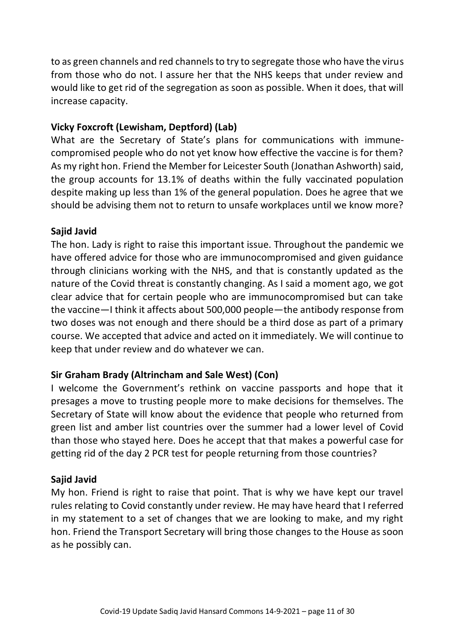to as green channels and red channels to try to segregate those who have the virus from those who do not. I assure her that the NHS keeps that under review and would like to get rid of the segregation as soon as possible. When it does, that will increase capacity.

## **Vicky Foxcroft (Lewisham, Deptford) (Lab)**

What are the Secretary of State's plans for communications with immunecompromised people who do not yet know how effective the vaccine is for them? As my right hon. Friend the Member for Leicester South (Jonathan Ashworth) said, the group accounts for 13.1% of deaths within the fully vaccinated population despite making up less than 1% of the general population. Does he agree that we should be advising them not to return to unsafe workplaces until we know more?

## **Sajid Javid**

The hon. Lady is right to raise this important issue. Throughout the pandemic we have offered advice for those who are immunocompromised and given guidance through clinicians working with the NHS, and that is constantly updated as the nature of the Covid threat is constantly changing. As I said a moment ago, we got clear advice that for certain people who are immunocompromised but can take the vaccine—I think it affects about 500,000 people—the antibody response from two doses was not enough and there should be a third dose as part of a primary course. We accepted that advice and acted on it immediately. We will continue to keep that under review and do whatever we can.

## **Sir Graham Brady (Altrincham and Sale West) (Con)**

I welcome the Government's rethink on vaccine passports and hope that it presages a move to trusting people more to make decisions for themselves. The Secretary of State will know about the evidence that people who returned from green list and amber list countries over the summer had a lower level of Covid than those who stayed here. Does he accept that that makes a powerful case for getting rid of the day 2 PCR test for people returning from those countries?

## **Sajid Javid**

My hon. Friend is right to raise that point. That is why we have kept our travel rules relating to Covid constantly under review. He may have heard that I referred in my statement to a set of changes that we are looking to make, and my right hon. Friend the Transport Secretary will bring those changes to the House as soon as he possibly can.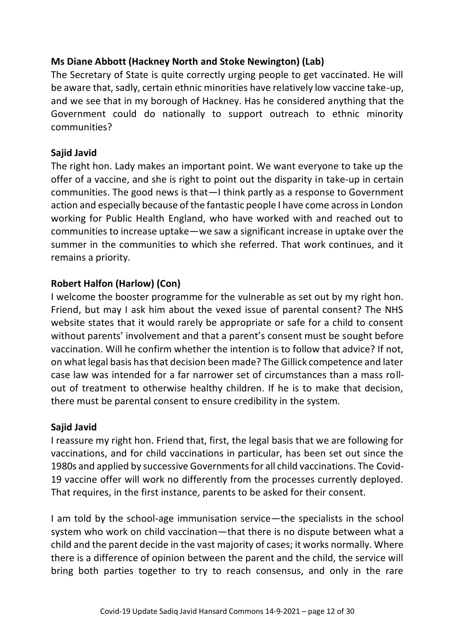# **Ms Diane Abbott (Hackney North and Stoke Newington) (Lab)**

The Secretary of State is quite correctly urging people to get vaccinated. He will be aware that, sadly, certain ethnic minorities have relatively low vaccine take-up, and we see that in my borough of Hackney. Has he considered anything that the Government could do nationally to support outreach to ethnic minority communities?

## **Sajid Javid**

The right hon. Lady makes an important point. We want everyone to take up the offer of a vaccine, and she is right to point out the disparity in take-up in certain communities. The good news is that—I think partly as a response to Government action and especially because of the fantastic people I have come across in London working for Public Health England, who have worked with and reached out to communities to increase uptake—we saw a significant increase in uptake over the summer in the communities to which she referred. That work continues, and it remains a priority.

# **Robert Halfon (Harlow) (Con)**

I welcome the booster programme for the vulnerable as set out by my right hon. Friend, but may I ask him about the vexed issue of parental consent? The NHS website states that it would rarely be appropriate or safe for a child to consent without parents' involvement and that a parent's consent must be sought before vaccination. Will he confirm whether the intention is to follow that advice? If not, on what legal basis has that decision been made? The Gillick competence and later case law was intended for a far narrower set of circumstances than a mass rollout of treatment to otherwise healthy children. If he is to make that decision, there must be parental consent to ensure credibility in the system.

## **Sajid Javid**

I reassure my right hon. Friend that, first, the legal basis that we are following for vaccinations, and for child vaccinations in particular, has been set out since the 1980s and applied by successive Governments for all child vaccinations. The Covid-19 vaccine offer will work no differently from the processes currently deployed. That requires, in the first instance, parents to be asked for their consent.

I am told by the school-age immunisation service—the specialists in the school system who work on child vaccination—that there is no dispute between what a child and the parent decide in the vast majority of cases; it works normally. Where there is a difference of opinion between the parent and the child, the service will bring both parties together to try to reach consensus, and only in the rare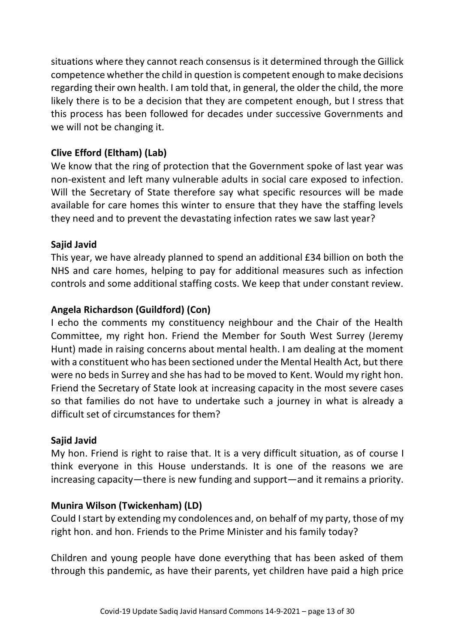situations where they cannot reach consensus is it determined through the Gillick competence whether the child in question is competent enough to make decisions regarding their own health. I am told that, in general, the older the child, the more likely there is to be a decision that they are competent enough, but I stress that this process has been followed for decades under successive Governments and we will not be changing it.

# **Clive Efford (Eltham) (Lab)**

We know that the ring of protection that the Government spoke of last year was non-existent and left many vulnerable adults in social care exposed to infection. Will the Secretary of State therefore say what specific resources will be made available for care homes this winter to ensure that they have the staffing levels they need and to prevent the devastating infection rates we saw last year?

# **Sajid Javid**

This year, we have already planned to spend an additional £34 billion on both the NHS and care homes, helping to pay for additional measures such as infection controls and some additional staffing costs. We keep that under constant review.

# **Angela Richardson (Guildford) (Con)**

I echo the comments my constituency neighbour and the Chair of the Health Committee, my right hon. Friend the Member for South West Surrey (Jeremy Hunt) made in raising concerns about mental health. I am dealing at the moment with a constituent who has been sectioned under the Mental Health Act, but there were no beds in Surrey and she has had to be moved to Kent. Would my right hon. Friend the Secretary of State look at increasing capacity in the most severe cases so that families do not have to undertake such a journey in what is already a difficult set of circumstances for them?

# **Sajid Javid**

My hon. Friend is right to raise that. It is a very difficult situation, as of course I think everyone in this House understands. It is one of the reasons we are increasing capacity—there is new funding and support—and it remains a priority.

# **Munira Wilson (Twickenham) (LD)**

Could I start by extending my condolences and, on behalf of my party, those of my right hon. and hon. Friends to the Prime Minister and his family today?

Children and young people have done everything that has been asked of them through this pandemic, as have their parents, yet children have paid a high price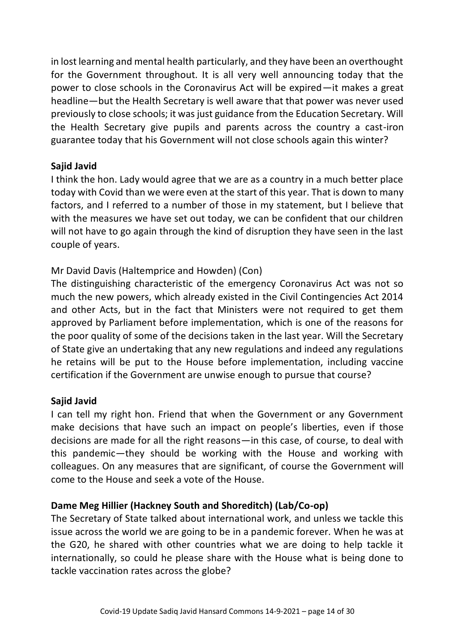in lost learning and mental health particularly, and they have been an overthought for the Government throughout. It is all very well announcing today that the power to close schools in the Coronavirus Act will be expired—it makes a great headline—but the Health Secretary is well aware that that power was never used previously to close schools; it was just guidance from the Education Secretary. Will the Health Secretary give pupils and parents across the country a cast-iron guarantee today that his Government will not close schools again this winter?

## **Sajid Javid**

I think the hon. Lady would agree that we are as a country in a much better place today with Covid than we were even at the start of this year. That is down to many factors, and I referred to a number of those in my statement, but I believe that with the measures we have set out today, we can be confident that our children will not have to go again through the kind of disruption they have seen in the last couple of years.

## Mr David Davis (Haltemprice and Howden) (Con)

The distinguishing characteristic of the emergency Coronavirus Act was not so much the new powers, which already existed in the Civil Contingencies Act 2014 and other Acts, but in the fact that Ministers were not required to get them approved by Parliament before implementation, which is one of the reasons for the poor quality of some of the decisions taken in the last year. Will the Secretary of State give an undertaking that any new regulations and indeed any regulations he retains will be put to the House before implementation, including vaccine certification if the Government are unwise enough to pursue that course?

#### **Sajid Javid**

I can tell my right hon. Friend that when the Government or any Government make decisions that have such an impact on people's liberties, even if those decisions are made for all the right reasons—in this case, of course, to deal with this pandemic—they should be working with the House and working with colleagues. On any measures that are significant, of course the Government will come to the House and seek a vote of the House.

## **Dame Meg Hillier (Hackney South and Shoreditch) (Lab/Co-op)**

The Secretary of State talked about international work, and unless we tackle this issue across the world we are going to be in a pandemic forever. When he was at the G20, he shared with other countries what we are doing to help tackle it internationally, so could he please share with the House what is being done to tackle vaccination rates across the globe?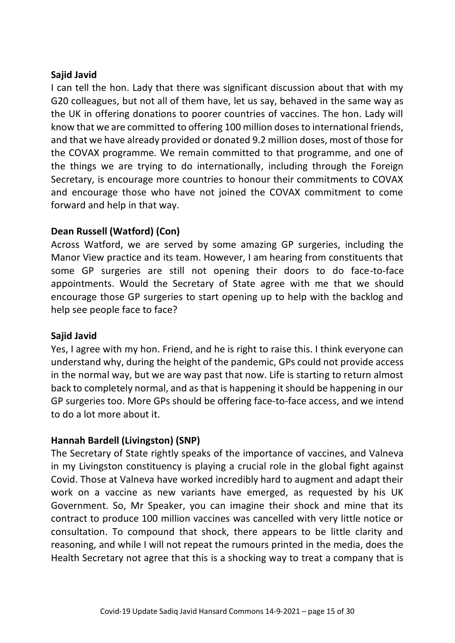I can tell the hon. Lady that there was significant discussion about that with my G20 colleagues, but not all of them have, let us say, behaved in the same way as the UK in offering donations to poorer countries of vaccines. The hon. Lady will know that we are committed to offering 100 million doses to international friends, and that we have already provided or donated 9.2 million doses, most of those for the COVAX programme. We remain committed to that programme, and one of the things we are trying to do internationally, including through the Foreign Secretary, is encourage more countries to honour their commitments to COVAX and encourage those who have not joined the COVAX commitment to come forward and help in that way.

## **Dean Russell (Watford) (Con)**

Across Watford, we are served by some amazing GP surgeries, including the Manor View practice and its team. However, I am hearing from constituents that some GP surgeries are still not opening their doors to do face-to-face appointments. Would the Secretary of State agree with me that we should encourage those GP surgeries to start opening up to help with the backlog and help see people face to face?

#### **Sajid Javid**

Yes, I agree with my hon. Friend, and he is right to raise this. I think everyone can understand why, during the height of the pandemic, GPs could not provide access in the normal way, but we are way past that now. Life is starting to return almost back to completely normal, and as that is happening it should be happening in our GP surgeries too. More GPs should be offering face-to-face access, and we intend to do a lot more about it.

## **Hannah Bardell (Livingston) (SNP)**

The Secretary of State rightly speaks of the importance of vaccines, and Valneva in my Livingston constituency is playing a crucial role in the global fight against Covid. Those at Valneva have worked incredibly hard to augment and adapt their work on a vaccine as new variants have emerged, as requested by his UK Government. So, Mr Speaker, you can imagine their shock and mine that its contract to produce 100 million vaccines was cancelled with very little notice or consultation. To compound that shock, there appears to be little clarity and reasoning, and while I will not repeat the rumours printed in the media, does the Health Secretary not agree that this is a shocking way to treat a company that is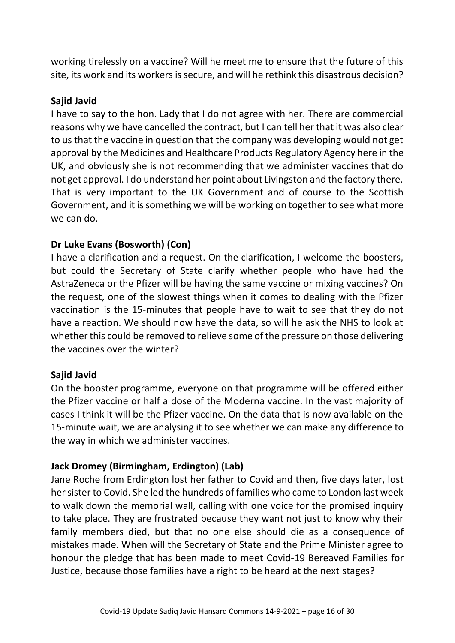working tirelessly on a vaccine? Will he meet me to ensure that the future of this site, its work and its workers is secure, and will he rethink this disastrous decision?

#### **Sajid Javid**

I have to say to the hon. Lady that I do not agree with her. There are commercial reasons why we have cancelled the contract, but I can tell her that it was also clear to us that the vaccine in question that the company was developing would not get approval by the Medicines and Healthcare Products Regulatory Agency here in the UK, and obviously she is not recommending that we administer vaccines that do not get approval. I do understand her point about Livingston and the factory there. That is very important to the UK Government and of course to the Scottish Government, and it is something we will be working on together to see what more we can do.

## **Dr Luke Evans (Bosworth) (Con)**

I have a clarification and a request. On the clarification, I welcome the boosters, but could the Secretary of State clarify whether people who have had the AstraZeneca or the Pfizer will be having the same vaccine or mixing vaccines? On the request, one of the slowest things when it comes to dealing with the Pfizer vaccination is the 15-minutes that people have to wait to see that they do not have a reaction. We should now have the data, so will he ask the NHS to look at whether this could be removed to relieve some of the pressure on those delivering the vaccines over the winter?

#### **Sajid Javid**

On the booster programme, everyone on that programme will be offered either the Pfizer vaccine or half a dose of the Moderna vaccine. In the vast majority of cases I think it will be the Pfizer vaccine. On the data that is now available on the 15-minute wait, we are analysing it to see whether we can make any difference to the way in which we administer vaccines.

## **Jack Dromey (Birmingham, Erdington) (Lab)**

Jane Roche from Erdington lost her father to Covid and then, five days later, lost her sister to Covid. She led the hundreds of families who came to London last week to walk down the memorial wall, calling with one voice for the promised inquiry to take place. They are frustrated because they want not just to know why their family members died, but that no one else should die as a consequence of mistakes made. When will the Secretary of State and the Prime Minister agree to honour the pledge that has been made to meet Covid-19 Bereaved Families for Justice, because those families have a right to be heard at the next stages?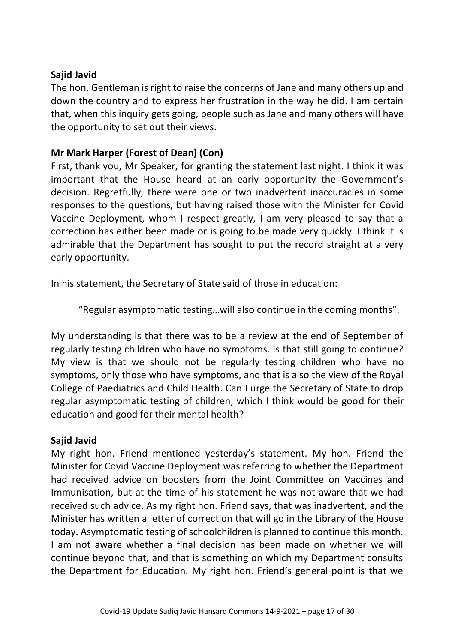The hon. Gentleman is right to raise the concerns of Jane and many others up and down the country and to express her frustration in the way he did. I am certain that, when this inquiry gets going, people such as Jane and many others will have the opportunity to set out their views.

## **Mr Mark Harper (Forest of Dean) (Con)**

First, thank you, Mr Speaker, for granting the statement last night. I think it was important that the House heard at an early opportunity the Government's decision. Regretfully, there were one or two inadvertent inaccuracies in some responses to the questions, but having raised those with the Minister for Covid Vaccine Deployment, whom I respect greatly, I am very pleased to say that a correction has either been made or is going to be made very quickly. I think it is admirable that the Department has sought to put the record straight at a very early opportunity.

In his statement, the Secretary of State said of those in education:

"Regular asymptomatic testing…will also continue in the coming months".

My understanding is that there was to be a review at the end of September of regularly testing children who have no symptoms. Is that still going to continue? My view is that we should not be regularly testing children who have no symptoms, only those who have symptoms, and that is also the view of the Royal College of Paediatrics and Child Health. Can I urge the Secretary of State to drop regular asymptomatic testing of children, which I think would be good for their education and good for their mental health?

#### **Sajid Javid**

My right hon. Friend mentioned yesterday's statement. My hon. Friend the Minister for Covid Vaccine Deployment was referring to whether the Department had received advice on boosters from the Joint Committee on Vaccines and Immunisation, but at the time of his statement he was not aware that we had received such advice. As my right hon. Friend says, that was inadvertent, and the Minister has written a letter of correction that will go in the Library of the House today. Asymptomatic testing of schoolchildren is planned to continue this month. I am not aware whether a final decision has been made on whether we will continue beyond that, and that is something on which my Department consults the Department for Education. My right hon. Friend's general point is that we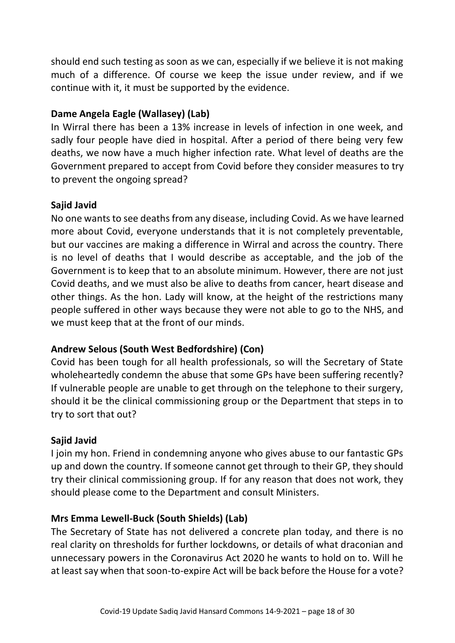should end such testing as soon as we can, especially if we believe it is not making much of a difference. Of course we keep the issue under review, and if we continue with it, it must be supported by the evidence.

## **Dame Angela Eagle (Wallasey) (Lab)**

In Wirral there has been a 13% increase in levels of infection in one week, and sadly four people have died in hospital. After a period of there being very few deaths, we now have a much higher infection rate. What level of deaths are the Government prepared to accept from Covid before they consider measures to try to prevent the ongoing spread?

# **Sajid Javid**

No one wants to see deaths from any disease, including Covid. As we have learned more about Covid, everyone understands that it is not completely preventable, but our vaccines are making a difference in Wirral and across the country. There is no level of deaths that I would describe as acceptable, and the job of the Government is to keep that to an absolute minimum. However, there are not just Covid deaths, and we must also be alive to deaths from cancer, heart disease and other things. As the hon. Lady will know, at the height of the restrictions many people suffered in other ways because they were not able to go to the NHS, and we must keep that at the front of our minds.

# **Andrew Selous (South West Bedfordshire) (Con)**

Covid has been tough for all health professionals, so will the Secretary of State wholeheartedly condemn the abuse that some GPs have been suffering recently? If vulnerable people are unable to get through on the telephone to their surgery, should it be the clinical commissioning group or the Department that steps in to try to sort that out?

## **Sajid Javid**

I join my hon. Friend in condemning anyone who gives abuse to our fantastic GPs up and down the country. If someone cannot get through to their GP, they should try their clinical commissioning group. If for any reason that does not work, they should please come to the Department and consult Ministers.

## **Mrs Emma Lewell-Buck (South Shields) (Lab)**

The Secretary of State has not delivered a concrete plan today, and there is no real clarity on thresholds for further lockdowns, or details of what draconian and unnecessary powers in the Coronavirus Act 2020 he wants to hold on to. Will he at least say when that soon-to-expire Act will be back before the House for a vote?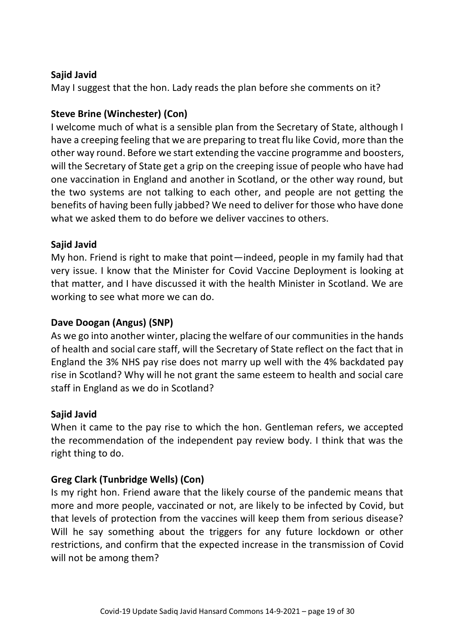May I suggest that the hon. Lady reads the plan before she comments on it?

# **Steve Brine (Winchester) (Con)**

I welcome much of what is a sensible plan from the Secretary of State, although I have a creeping feeling that we are preparing to treat flu like Covid, more than the other way round. Before we start extending the vaccine programme and boosters, will the Secretary of State get a grip on the creeping issue of people who have had one vaccination in England and another in Scotland, or the other way round, but the two systems are not talking to each other, and people are not getting the benefits of having been fully jabbed? We need to deliver for those who have done what we asked them to do before we deliver vaccines to others.

## **Sajid Javid**

My hon. Friend is right to make that point—indeed, people in my family had that very issue. I know that the Minister for Covid Vaccine Deployment is looking at that matter, and I have discussed it with the health Minister in Scotland. We are working to see what more we can do.

## **Dave Doogan (Angus) (SNP)**

As we go into another winter, placing the welfare of our communities in the hands of health and social care staff, will the Secretary of State reflect on the fact that in England the 3% NHS pay rise does not marry up well with the 4% backdated pay rise in Scotland? Why will he not grant the same esteem to health and social care staff in England as we do in Scotland?

# **Sajid Javid**

When it came to the pay rise to which the hon. Gentleman refers, we accepted the recommendation of the independent pay review body. I think that was the right thing to do.

# **Greg Clark (Tunbridge Wells) (Con)**

Is my right hon. Friend aware that the likely course of the pandemic means that more and more people, vaccinated or not, are likely to be infected by Covid, but that levels of protection from the vaccines will keep them from serious disease? Will he say something about the triggers for any future lockdown or other restrictions, and confirm that the expected increase in the transmission of Covid will not be among them?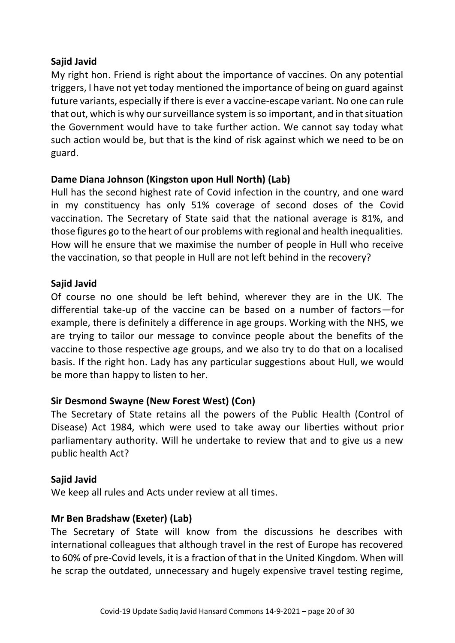My right hon. Friend is right about the importance of vaccines. On any potential triggers, I have not yet today mentioned the importance of being on guard against future variants, especially if there is ever a vaccine-escape variant. No one can rule that out, which is why our surveillance system is so important, and in that situation the Government would have to take further action. We cannot say today what such action would be, but that is the kind of risk against which we need to be on guard.

# **Dame Diana Johnson (Kingston upon Hull North) (Lab)**

Hull has the second highest rate of Covid infection in the country, and one ward in my constituency has only 51% coverage of second doses of the Covid vaccination. The Secretary of State said that the national average is 81%, and those figures go to the heart of our problems with regional and health inequalities. How will he ensure that we maximise the number of people in Hull who receive the vaccination, so that people in Hull are not left behind in the recovery?

## **Sajid Javid**

Of course no one should be left behind, wherever they are in the UK. The differential take-up of the vaccine can be based on a number of factors—for example, there is definitely a difference in age groups. Working with the NHS, we are trying to tailor our message to convince people about the benefits of the vaccine to those respective age groups, and we also try to do that on a localised basis. If the right hon. Lady has any particular suggestions about Hull, we would be more than happy to listen to her.

# **Sir Desmond Swayne (New Forest West) (Con)**

The Secretary of State retains all the powers of the Public Health (Control of Disease) Act 1984, which were used to take away our liberties without prior parliamentary authority. Will he undertake to review that and to give us a new public health Act?

## **Sajid Javid**

We keep all rules and Acts under review at all times.

# **Mr Ben Bradshaw (Exeter) (Lab)**

The Secretary of State will know from the discussions he describes with international colleagues that although travel in the rest of Europe has recovered to 60% of pre-Covid levels, it is a fraction of that in the United Kingdom. When will he scrap the outdated, unnecessary and hugely expensive travel testing regime,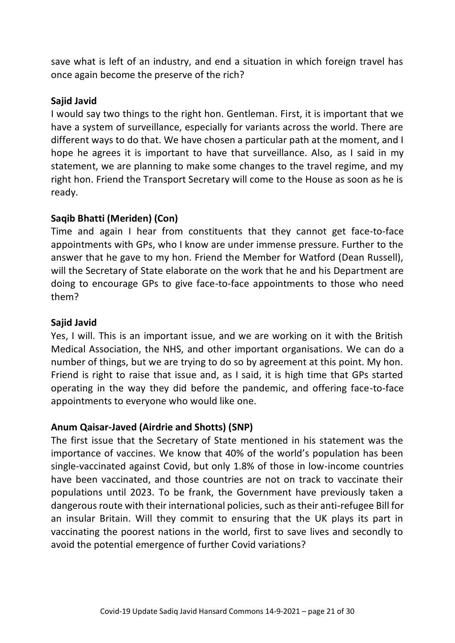save what is left of an industry, and end a situation in which foreign travel has once again become the preserve of the rich?

#### **Sajid Javid**

I would say two things to the right hon. Gentleman. First, it is important that we have a system of surveillance, especially for variants across the world. There are different ways to do that. We have chosen a particular path at the moment, and I hope he agrees it is important to have that surveillance. Also, as I said in my statement, we are planning to make some changes to the travel regime, and my right hon. Friend the Transport Secretary will come to the House as soon as he is ready.

## **Saqib Bhatti (Meriden) (Con)**

Time and again I hear from constituents that they cannot get face-to-face appointments with GPs, who I know are under immense pressure. Further to the answer that he gave to my hon. Friend the Member for Watford (Dean Russell), will the Secretary of State elaborate on the work that he and his Department are doing to encourage GPs to give face-to-face appointments to those who need them?

## **Sajid Javid**

Yes, I will. This is an important issue, and we are working on it with the British Medical Association, the NHS, and other important organisations. We can do a number of things, but we are trying to do so by agreement at this point. My hon. Friend is right to raise that issue and, as I said, it is high time that GPs started operating in the way they did before the pandemic, and offering face-to-face appointments to everyone who would like one.

## **Anum Qaisar-Javed (Airdrie and Shotts) (SNP)**

The first issue that the Secretary of State mentioned in his statement was the importance of vaccines. We know that 40% of the world's population has been single-vaccinated against Covid, but only 1.8% of those in low-income countries have been vaccinated, and those countries are not on track to vaccinate their populations until 2023. To be frank, the Government have previously taken a dangerous route with their international policies, such as their anti-refugee Bill for an insular Britain. Will they commit to ensuring that the UK plays its part in vaccinating the poorest nations in the world, first to save lives and secondly to avoid the potential emergence of further Covid variations?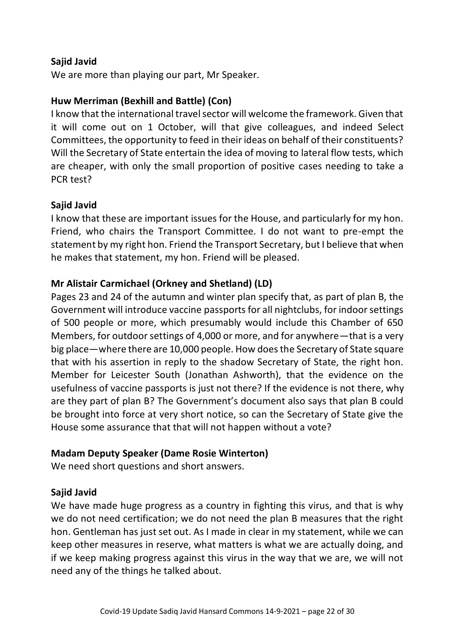We are more than playing our part, Mr Speaker.

## **Huw Merriman (Bexhill and Battle) (Con)**

I know that the international travel sector will welcome the framework. Given that it will come out on 1 October, will that give colleagues, and indeed Select Committees, the opportunity to feed in their ideas on behalf of their constituents? Will the Secretary of State entertain the idea of moving to lateral flow tests, which are cheaper, with only the small proportion of positive cases needing to take a PCR test?

## **Sajid Javid**

I know that these are important issues for the House, and particularly for my hon. Friend, who chairs the Transport Committee. I do not want to pre-empt the statement by my right hon. Friend the Transport Secretary, but I believe that when he makes that statement, my hon. Friend will be pleased.

## **Mr Alistair Carmichael (Orkney and Shetland) (LD)**

Pages 23 and 24 of the autumn and winter plan specify that, as part of plan B, the Government will introduce vaccine passports for all nightclubs, for indoor settings of 500 people or more, which presumably would include this Chamber of 650 Members, for outdoor settings of 4,000 or more, and for anywhere—that is a very big place—where there are 10,000 people. How does the Secretary of State square that with his assertion in reply to the shadow Secretary of State, the right hon. Member for Leicester South (Jonathan Ashworth), that the evidence on the usefulness of vaccine passports is just not there? If the evidence is not there, why are they part of plan B? The Government's document also says that plan B could be brought into force at very short notice, so can the Secretary of State give the House some assurance that that will not happen without a vote?

## **Madam Deputy Speaker (Dame Rosie Winterton)**

We need short questions and short answers.

## **Sajid Javid**

We have made huge progress as a country in fighting this virus, and that is why we do not need certification; we do not need the plan B measures that the right hon. Gentleman has just set out. As I made in clear in my statement, while we can keep other measures in reserve, what matters is what we are actually doing, and if we keep making progress against this virus in the way that we are, we will not need any of the things he talked about.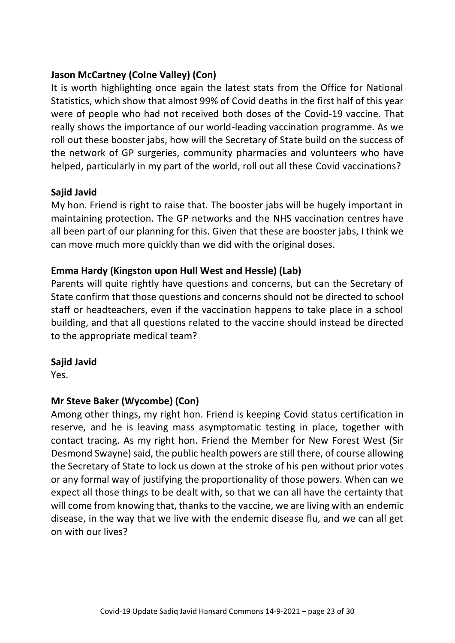# **Jason McCartney (Colne Valley) (Con)**

It is worth highlighting once again the latest stats from the Office for National Statistics, which show that almost 99% of Covid deaths in the first half of this year were of people who had not received both doses of the Covid-19 vaccine. That really shows the importance of our world-leading vaccination programme. As we roll out these booster jabs, how will the Secretary of State build on the success of the network of GP surgeries, community pharmacies and volunteers who have helped, particularly in my part of the world, roll out all these Covid vaccinations?

## **Sajid Javid**

My hon. Friend is right to raise that. The booster jabs will be hugely important in maintaining protection. The GP networks and the NHS vaccination centres have all been part of our planning for this. Given that these are booster jabs, I think we can move much more quickly than we did with the original doses.

## **Emma Hardy (Kingston upon Hull West and Hessle) (Lab)**

Parents will quite rightly have questions and concerns, but can the Secretary of State confirm that those questions and concerns should not be directed to school staff or headteachers, even if the vaccination happens to take place in a school building, and that all questions related to the vaccine should instead be directed to the appropriate medical team?

#### **Sajid Javid**

Yes.

## **Mr Steve Baker (Wycombe) (Con)**

Among other things, my right hon. Friend is keeping Covid status certification in reserve, and he is leaving mass asymptomatic testing in place, together with contact tracing. As my right hon. Friend the Member for New Forest West (Sir Desmond Swayne) said, the public health powers are still there, of course allowing the Secretary of State to lock us down at the stroke of his pen without prior votes or any formal way of justifying the proportionality of those powers. When can we expect all those things to be dealt with, so that we can all have the certainty that will come from knowing that, thanks to the vaccine, we are living with an endemic disease, in the way that we live with the endemic disease flu, and we can all get on with our lives?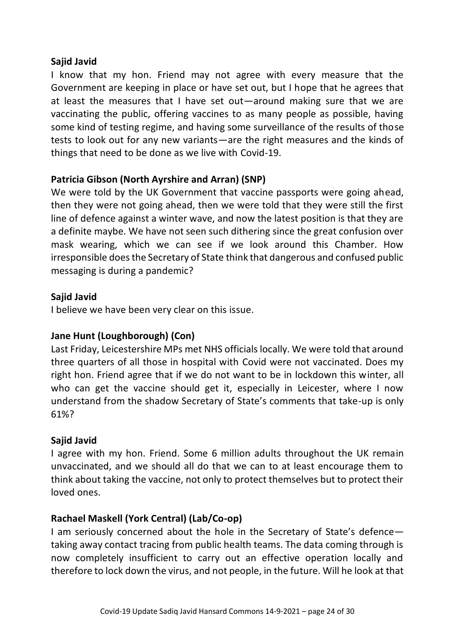I know that my hon. Friend may not agree with every measure that the Government are keeping in place or have set out, but I hope that he agrees that at least the measures that I have set out—around making sure that we are vaccinating the public, offering vaccines to as many people as possible, having some kind of testing regime, and having some surveillance of the results of those tests to look out for any new variants—are the right measures and the kinds of things that need to be done as we live with Covid-19.

#### **Patricia Gibson (North Ayrshire and Arran) (SNP)**

We were told by the UK Government that vaccine passports were going ahead, then they were not going ahead, then we were told that they were still the first line of defence against a winter wave, and now the latest position is that they are a definite maybe. We have not seen such dithering since the great confusion over mask wearing, which we can see if we look around this Chamber. How irresponsible does the Secretary of State think that dangerous and confused public messaging is during a pandemic?

#### **Sajid Javid**

I believe we have been very clear on this issue.

## **Jane Hunt (Loughborough) (Con)**

Last Friday, Leicestershire MPs met NHS officials locally. We were told that around three quarters of all those in hospital with Covid were not vaccinated. Does my right hon. Friend agree that if we do not want to be in lockdown this winter, all who can get the vaccine should get it, especially in Leicester, where I now understand from the shadow Secretary of State's comments that take-up is only 61%?

#### **Sajid Javid**

I agree with my hon. Friend. Some 6 million adults throughout the UK remain unvaccinated, and we should all do that we can to at least encourage them to think about taking the vaccine, not only to protect themselves but to protect their loved ones.

## **Rachael Maskell (York Central) (Lab/Co-op)**

I am seriously concerned about the hole in the Secretary of State's defence taking away contact tracing from public health teams. The data coming through is now completely insufficient to carry out an effective operation locally and therefore to lock down the virus, and not people, in the future. Will he look at that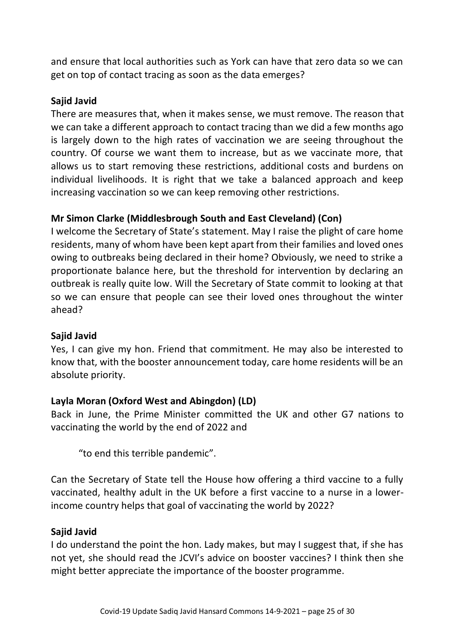and ensure that local authorities such as York can have that zero data so we can get on top of contact tracing as soon as the data emerges?

## **Sajid Javid**

There are measures that, when it makes sense, we must remove. The reason that we can take a different approach to contact tracing than we did a few months ago is largely down to the high rates of vaccination we are seeing throughout the country. Of course we want them to increase, but as we vaccinate more, that allows us to start removing these restrictions, additional costs and burdens on individual livelihoods. It is right that we take a balanced approach and keep increasing vaccination so we can keep removing other restrictions.

## **Mr Simon Clarke (Middlesbrough South and East Cleveland) (Con)**

I welcome the Secretary of State's statement. May I raise the plight of care home residents, many of whom have been kept apart from their families and loved ones owing to outbreaks being declared in their home? Obviously, we need to strike a proportionate balance here, but the threshold for intervention by declaring an outbreak is really quite low. Will the Secretary of State commit to looking at that so we can ensure that people can see their loved ones throughout the winter ahead?

## **Sajid Javid**

Yes, I can give my hon. Friend that commitment. He may also be interested to know that, with the booster announcement today, care home residents will be an absolute priority.

## **Layla Moran (Oxford West and Abingdon) (LD)**

Back in June, the Prime Minister committed the UK and other G7 nations to vaccinating the world by the end of 2022 and

"to end this terrible pandemic".

Can the Secretary of State tell the House how offering a third vaccine to a fully vaccinated, healthy adult in the UK before a first vaccine to a nurse in a lowerincome country helps that goal of vaccinating the world by 2022?

#### **Sajid Javid**

I do understand the point the hon. Lady makes, but may I suggest that, if she has not yet, she should read the JCVI's advice on booster vaccines? I think then she might better appreciate the importance of the booster programme.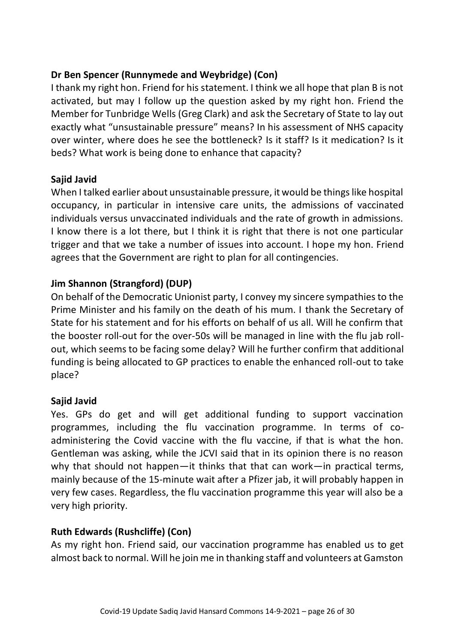# **Dr Ben Spencer (Runnymede and Weybridge) (Con)**

I thank my right hon. Friend for his statement. I think we all hope that plan B is not activated, but may I follow up the question asked by my right hon. Friend the Member for Tunbridge Wells (Greg Clark) and ask the Secretary of State to lay out exactly what "unsustainable pressure" means? In his assessment of NHS capacity over winter, where does he see the bottleneck? Is it staff? Is it medication? Is it beds? What work is being done to enhance that capacity?

## **Sajid Javid**

When I talked earlier about unsustainable pressure, it would be things like hospital occupancy, in particular in intensive care units, the admissions of vaccinated individuals versus unvaccinated individuals and the rate of growth in admissions. I know there is a lot there, but I think it is right that there is not one particular trigger and that we take a number of issues into account. I hope my hon. Friend agrees that the Government are right to plan for all contingencies.

## **Jim Shannon (Strangford) (DUP)**

On behalf of the Democratic Unionist party, I convey my sincere sympathies to the Prime Minister and his family on the death of his mum. I thank the Secretary of State for his statement and for his efforts on behalf of us all. Will he confirm that the booster roll-out for the over-50s will be managed in line with the flu jab rollout, which seems to be facing some delay? Will he further confirm that additional funding is being allocated to GP practices to enable the enhanced roll-out to take place?

## **Sajid Javid**

Yes. GPs do get and will get additional funding to support vaccination programmes, including the flu vaccination programme. In terms of coadministering the Covid vaccine with the flu vaccine, if that is what the hon. Gentleman was asking, while the JCVI said that in its opinion there is no reason why that should not happen—it thinks that that can work—in practical terms, mainly because of the 15-minute wait after a Pfizer jab, it will probably happen in very few cases. Regardless, the flu vaccination programme this year will also be a very high priority.

## **Ruth Edwards (Rushcliffe) (Con)**

As my right hon. Friend said, our vaccination programme has enabled us to get almost back to normal. Will he join me in thanking staff and volunteers at Gamston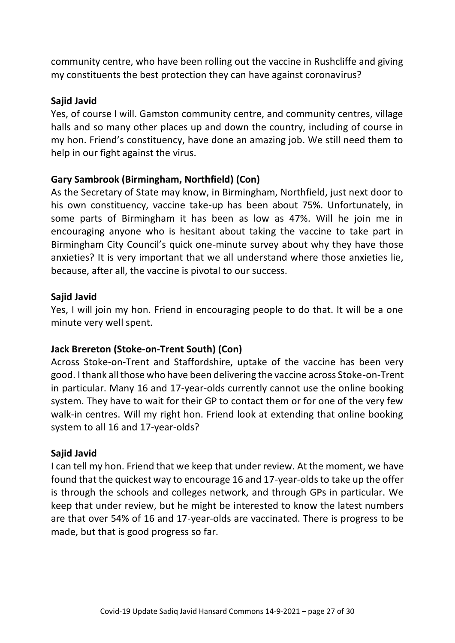community centre, who have been rolling out the vaccine in Rushcliffe and giving my constituents the best protection they can have against coronavirus?

#### **Sajid Javid**

Yes, of course I will. Gamston community centre, and community centres, village halls and so many other places up and down the country, including of course in my hon. Friend's constituency, have done an amazing job. We still need them to help in our fight against the virus.

## **Gary Sambrook (Birmingham, Northfield) (Con)**

As the Secretary of State may know, in Birmingham, Northfield, just next door to his own constituency, vaccine take-up has been about 75%. Unfortunately, in some parts of Birmingham it has been as low as 47%. Will he join me in encouraging anyone who is hesitant about taking the vaccine to take part in Birmingham City Council's quick one-minute survey about why they have those anxieties? It is very important that we all understand where those anxieties lie, because, after all, the vaccine is pivotal to our success.

#### **Sajid Javid**

Yes, I will join my hon. Friend in encouraging people to do that. It will be a one minute very well spent.

## **Jack Brereton (Stoke-on-Trent South) (Con)**

Across Stoke-on-Trent and Staffordshire, uptake of the vaccine has been very good. I thank all those who have been delivering the vaccine across Stoke-on-Trent in particular. Many 16 and 17-year-olds currently cannot use the online booking system. They have to wait for their GP to contact them or for one of the very few walk-in centres. Will my right hon. Friend look at extending that online booking system to all 16 and 17-year-olds?

#### **Sajid Javid**

I can tell my hon. Friend that we keep that under review. At the moment, we have found that the quickest way to encourage 16 and 17-year-olds to take up the offer is through the schools and colleges network, and through GPs in particular. We keep that under review, but he might be interested to know the latest numbers are that over 54% of 16 and 17-year-olds are vaccinated. There is progress to be made, but that is good progress so far.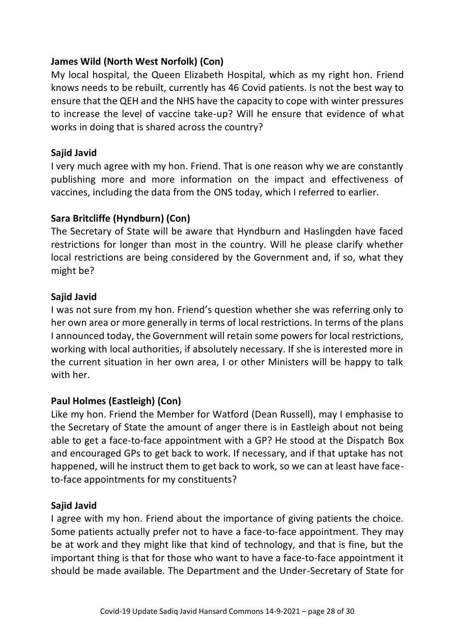## **James Wild (North West Norfolk) (Con)**

My local hospital, the Queen Elizabeth Hospital, which as my right hon. Friend knows needs to be rebuilt, currently has 46 Covid patients. Is not the best way to ensure that the QEH and the NHS have the capacity to cope with winter pressures to increase the level of vaccine take-up? Will he ensure that evidence of what works in doing that is shared across the country?

## **Sajid Javid**

I very much agree with my hon. Friend. That is one reason why we are constantly publishing more and more information on the impact and effectiveness of vaccines, including the data from the ONS today, which I referred to earlier.

# **Sara Britcliffe (Hyndburn) (Con)**

The Secretary of State will be aware that Hyndburn and Haslingden have faced restrictions for longer than most in the country. Will he please clarify whether local restrictions are being considered by the Government and, if so, what they might be?

## **Sajid Javid**

I was not sure from my hon. Friend's question whether she was referring only to her own area or more generally in terms of local restrictions. In terms of the plans I announced today, the Government will retain some powers for local restrictions, working with local authorities, if absolutely necessary. If she is interested more in the current situation in her own area, I or other Ministers will be happy to talk with her.

## **Paul Holmes (Eastleigh) (Con)**

Like my hon. Friend the Member for Watford (Dean Russell), may I emphasise to the Secretary of State the amount of anger there is in Eastleigh about not being able to get a face-to-face appointment with a GP? He stood at the Dispatch Box and encouraged GPs to get back to work. If necessary, and if that uptake has not happened, will he instruct them to get back to work, so we can at least have faceto-face appointments for my constituents?

## **Sajid Javid**

I agree with my hon. Friend about the importance of giving patients the choice. Some patients actually prefer not to have a face-to-face appointment. They may be at work and they might like that kind of technology, and that is fine, but the important thing is that for those who want to have a face-to-face appointment it should be made available. The Department and the Under-Secretary of State for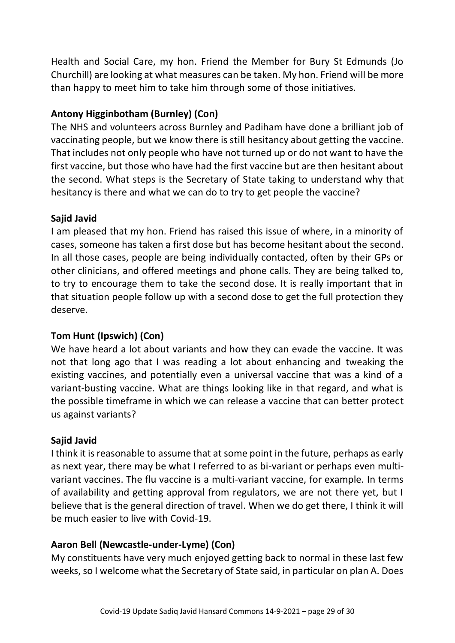Health and Social Care, my hon. Friend the Member for Bury St Edmunds (Jo Churchill) are looking at what measures can be taken. My hon. Friend will be more than happy to meet him to take him through some of those initiatives.

# **Antony Higginbotham (Burnley) (Con)**

The NHS and volunteers across Burnley and Padiham have done a brilliant job of vaccinating people, but we know there is still hesitancy about getting the vaccine. That includes not only people who have not turned up or do not want to have the first vaccine, but those who have had the first vaccine but are then hesitant about the second. What steps is the Secretary of State taking to understand why that hesitancy is there and what we can do to try to get people the vaccine?

# **Sajid Javid**

I am pleased that my hon. Friend has raised this issue of where, in a minority of cases, someone has taken a first dose but has become hesitant about the second. In all those cases, people are being individually contacted, often by their GPs or other clinicians, and offered meetings and phone calls. They are being talked to, to try to encourage them to take the second dose. It is really important that in that situation people follow up with a second dose to get the full protection they deserve.

# **Tom Hunt (Ipswich) (Con)**

We have heard a lot about variants and how they can evade the vaccine. It was not that long ago that I was reading a lot about enhancing and tweaking the existing vaccines, and potentially even a universal vaccine that was a kind of a variant-busting vaccine. What are things looking like in that regard, and what is the possible timeframe in which we can release a vaccine that can better protect us against variants?

# **Sajid Javid**

I think it is reasonable to assume that at some point in the future, perhaps as early as next year, there may be what I referred to as bi-variant or perhaps even multivariant vaccines. The flu vaccine is a multi-variant vaccine, for example. In terms of availability and getting approval from regulators, we are not there yet, but I believe that is the general direction of travel. When we do get there, I think it will be much easier to live with Covid-19.

# **Aaron Bell (Newcastle-under-Lyme) (Con)**

My constituents have very much enjoyed getting back to normal in these last few weeks, so I welcome what the Secretary of State said, in particular on plan A. Does